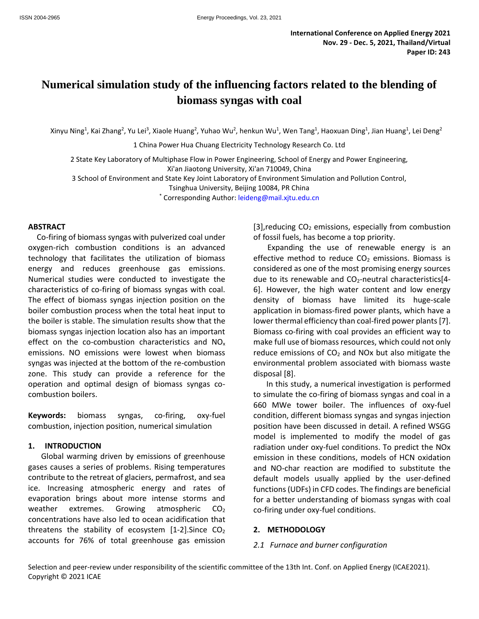# **Numerical simulation study of the influencing factors related to the blending of biomass syngas with coal**

Xinyu Ning<sup>1</sup>, Kai Zhang<sup>2</sup>, Yu Lei<sup>3</sup>, Xiaole Huang<sup>2</sup>, Yuhao Wu<sup>2</sup>, henkun Wu<sup>1</sup>, Wen Tang<sup>1</sup>, Haoxuan Ding<sup>1</sup>, Jian Huang<sup>1</sup>, Lei Deng<sup>2</sup>

1 China Power Hua Chuang Electricity Technology Research Co. Ltd

2 State Key Laboratory of Multiphase Flow in Power Engineering, School of Energy and Power Engineering, Xi'an Jiaotong University, Xi'an 710049, China

3 School of Environment and State Key Joint Laboratory of Environment Simulation and Pollution Control,

Tsinghua University, Beijing 10084, PR China

\* Corresponding Author: leideng@mail.xjtu.edu.cn

#### **ABSTRACT**

Co-firing of biomass syngas with pulverized coal under oxygen-rich combustion conditions is an advanced technology that facilitates the utilization of biomass energy and reduces greenhouse gas emissions. Numerical studies were conducted to investigate the characteristics of co-firing of biomass syngas with coal. The effect of biomass syngas injection position on the boiler combustion process when the total heat input to the boiler is stable. The simulation results show that the biomass syngas injection location also has an important effect on the co-combustion characteristics and  $NO<sub>x</sub>$ emissions. NO emissions were lowest when biomass syngas was injected at the bottom of the re-combustion zone. This study can provide a reference for the operation and optimal design of biomass syngas cocombustion boilers.

**Keywords:** biomass syngas, co-firing, oxy-fuel combustion, injection position, numerical simulation

#### **1. INTRODUCTION**

Global warming driven by emissions of greenhouse gases causes a series of problems. Rising temperatures contribute to the retreat of glaciers, permafrost, and sea ice. Increasing atmospheric energy and rates of evaporation brings about more intense storms and weather extremes. Growing atmospheric  $CO<sub>2</sub>$ concentrations have also led to ocean acidification that threatens the stability of ecosystem  $[1-2]$ . Since CO<sub>2</sub> accounts for 76% of total greenhouse gas emission

 $[3]$ , reducing  $CO<sub>2</sub>$  emissions, especially from combustion of fossil fuels, has become a top priority.

Expanding the use of renewable energy is an effective method to reduce  $CO<sub>2</sub>$  emissions. Biomass is considered as one of the most promising energy sources due to its renewable and  $CO<sub>2</sub>$ -neutral characteristics[4-6]. However, the high water content and low energy density of biomass have limited its huge-scale application in biomass-fired power plants, which have a lower thermal efficiency than coal-fired power plants[7]. Biomass co-firing with coal provides an efficient way to make full use of biomass resources, which could not only reduce emissions of  $CO<sub>2</sub>$  and NOx but also mitigate the environmental problem associated with biomass waste disposal [8].

In this study, a numerical investigation is performed to simulate the co-firing of biomass syngas and coal in a 660 MWe tower boiler. The influences of oxy-fuel condition, different biomass syngas and syngas injection position have been discussed in detail. A refined WSGG model is implemented to modify the model of gas radiation under oxy-fuel conditions. To predict the NOx emission in these conditions, models of HCN oxidation and NO-char reaction are modified to substitute the default models usually applied by the user-defined functions (UDFs) in CFD codes. The findings are beneficial for a better understanding of biomass syngas with coal co-firing under oxy-fuel conditions.

#### **2. METHODOLOGY**

#### *2.1 Furnace and burner configuration*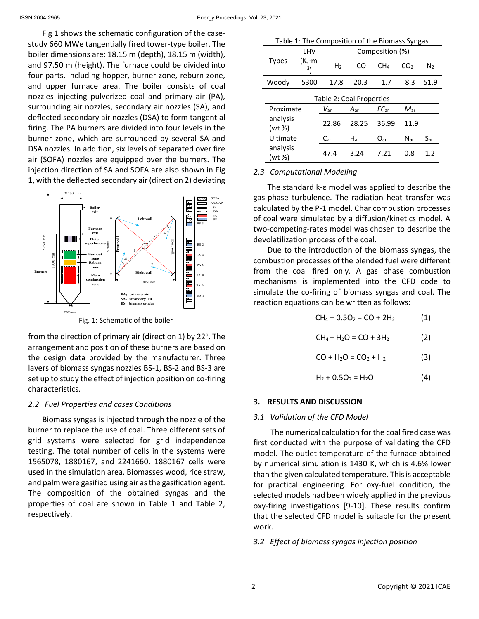Fig 1 shows the schematic configuration of the casestudy 660 MWe tangentially fired tower-type boiler. The boiler dimensions are: 18.15 m (depth), 18.15 m (width), and 97.50 m (height). The furnace could be divided into four parts, including hopper, burner zone, reburn zone, and upper furnace area. The boiler consists of coal nozzles injecting pulverized coal and primary air (PA), surrounding air nozzles, secondary air nozzles (SA), and deflected secondary air nozzles (DSA) to form tangential firing. The PA burners are divided into four levels in the burner zone, which are surrounded by several SA and DSA nozzles. In addition, six levels of separated over fire air (SOFA) nozzles are equipped over the burners. The injection direction of SA and SOFA are also shown in Fig 1, with the deflected secondary air (direction 2) deviating



from the direction of primary air (direction 1) by 22°. The arrangement and position of these burners are based on the design data provided by the manufacturer. Three layers of biomass syngas nozzles BS-1, BS-2 and BS-3 are set up to study the effect of injection position on co-firing characteristics.

## *2.2 Fuel Properties and cases Conditions*

Biomass syngas is injected through the nozzle of the burner to replace the use of coal. Three different sets of grid systems were selected for grid independence testing. The total number of cells in the systems were 1565078, 1880167, and 2241660. 1880167 cells were used in the simulation area. Biomasses wood, rice straw, and palm were gasified using air as the gasification agent. The composition of the obtained syngas and the properties of coal are shown in Table 1 and Table 2, respectively.

| Table 1: The Composition of the Biomass Syngas |                          |                 |              |                  |                 |                |  |  |  |
|------------------------------------------------|--------------------------|-----------------|--------------|------------------|-----------------|----------------|--|--|--|
|                                                | LHV                      | Composition (%) |              |                  |                 |                |  |  |  |
| <b>Types</b>                                   | (KJ·m <sup>-</sup><br>3١ | H <sub>2</sub>  | CO           | CH <sub>4</sub>  | CO <sub>2</sub> | N <sub>2</sub> |  |  |  |
| Woody                                          | 5300                     | 17.8            | 20.3         | 1.7              | 8.3             | 51.9           |  |  |  |
| Table 2: Coal Properties                       |                          |                 |              |                  |                 |                |  |  |  |
| Proximate<br>analysis<br>(wt %)                |                          | $V_{\rm ar}$    | $A_{\rm ar}$ | $FC_{\text{ar}}$ | $M_{\rm ar}$    |                |  |  |  |
|                                                |                          | 22.86           | 28.25        | 36.99            | 11.9            |                |  |  |  |
| Ultimate                                       |                          | $C_{\sf ar}$    | $H_{\rm ar}$ | $O_{\rm ar}$     | $N_{\rm ar}$    | $S_{\rm ar}$   |  |  |  |
| analysis<br>(wt %)                             |                          | 47.4            | 3.24         | 7.21             | 0.8             | 1.2            |  |  |  |

## *2.3 Computational Modeling*

The standard k-ε model was applied to describe the gas-phase turbulence. The radiation heat transfer was calculated by the P-1 model. Char combustion processes of coal were simulated by a diffusion/kinetics model. A two-competing-rates model was chosen to describe the devolatilization process of the coal.

Due to the introduction of the biomass syngas, the combustion processes of the blended fuel were different from the coal fired only. A gas phase combustion mechanisms is implemented into the CFD code to simulate the co-firing of biomass syngas and coal. The reaction equations can be written as follows:

$$
CH_4 + 0.5O_2 = CO + 2H_2
$$
 (1)

$$
CH_4 + H_2O = CO + 3H_2
$$
 (2)

$$
CO + H_2O = CO_2 + H_2
$$
 (3)

$$
H_2 + 0.5O_2 = H_2O \tag{4}
$$

## **3. RESULTS AND DISCUSSION**

## *3.1 Validation of the CFD Model*

The numerical calculation for the coal fired case was first conducted with the purpose of validating the CFD model. The outlet temperature of the furnace obtained by numerical simulation is 1430 K, which is 4.6% lower than the given calculated temperature. This is acceptable for practical engineering. For oxy-fuel condition, the selected models had been widely applied in the previous oxy-firing investigations [9-10]. These results confirm that the selected CFD model is suitable for the present work.

## *3.2 Effect of biomass syngas injection position*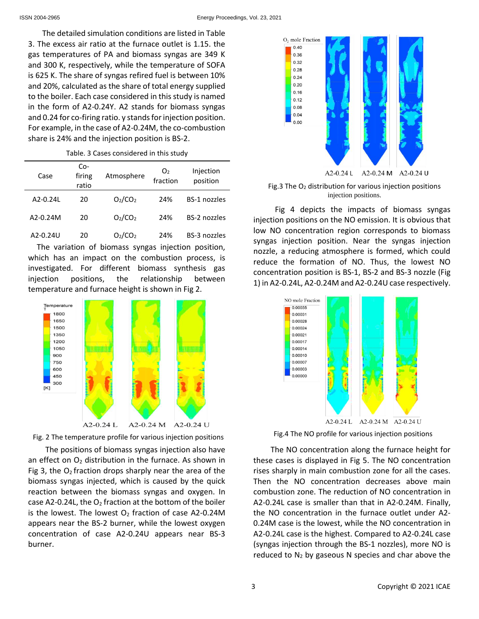The detailed simulation conditions are listed in Table 3. The excess air ratio at the furnace outlet is 1.15. the gas temperatures of PA and biomass syngas are 349 K and 300 K, respectively, while the temperature of SOFA is 625 K. The share of syngas refired fuel is between 10% and 20%, calculated as the share of total energy supplied to the boiler. Each case considered in this study is named in the form of A2-0.24Y. A2 stands for biomass syngas and 0.24 for co-firing ratio. y stands for injection position. For example, in the case of A2-0.24M, the co-combustion share is 24% and the injection position is BS-2.

Table. 3 Cases considered in this study

| Case       | $Co-$<br>firing<br>ratio | Atmosphere                      | O <sub>2</sub><br>fraction | Injection<br>position |
|------------|--------------------------|---------------------------------|----------------------------|-----------------------|
| A2-0.24L   | 20                       | O <sub>2</sub> /CO <sub>2</sub> | 24%                        | <b>BS-1 nozzles</b>   |
| $A2-0.24M$ | 20                       | O <sub>2</sub> /CO <sub>2</sub> | 24%                        | <b>BS-2 nozzles</b>   |
| A2-0.24U   | 20                       | O <sub>2</sub> /CO <sub>2</sub> | 24%                        | <b>BS-3 nozzles</b>   |

The variation of biomass syngas injection position, which has an impact on the combustion process, is investigated. For different biomass synthesis gas injection positions, the relationship between temperature and furnace height is shown in Fig 2.





The positions of biomass syngas injection also have an effect on  $O<sub>2</sub>$  distribution in the furnace. As shown in Fig 3, the  $O<sub>2</sub>$  fraction drops sharply near the area of the biomass syngas injected, which is caused by the quick reaction between the biomass syngas and oxygen. In case A2-0.24L, the  $O_2$  fraction at the bottom of the boiler is the lowest. The lowest  $O<sub>2</sub>$  fraction of case A2-0.24M appears near the BS-2 burner, while the lowest oxygen concentration of case A2-0.24U appears near BS-3 burner.



Fig.3 The O<sup>2</sup> distribution for various injection positions injection positions.

Fig 4 depicts the impacts of biomass syngas injection positions on the NO emission. It is obvious that low NO concentration region corresponds to biomass syngas injection position. Near the syngas injection nozzle, a reducing atmosphere is formed, which could reduce the formation of NO. Thus, the lowest NO concentration position is BS-1, BS-2 and BS-3 nozzle (Fig 1) in A2-0.24L, A2-0.24M and A2-0.24U case respectively.



The NO concentration along the furnace height for these cases is displayed in Fig 5. The NO concentration rises sharply in main combustion zone for all the cases. Then the NO concentration decreases above main combustion zone. The reduction of NO concentration in A2-0.24L case is smaller than that in A2-0.24M. Finally, the NO concentration in the furnace outlet under A2- 0.24M case is the lowest, while the NO concentration in A2-0.24L case is the highest. Compared to A2-0.24L case (syngas injection through the BS-1 nozzles), more NO is reduced to  $N_2$  by gaseous N species and char above the